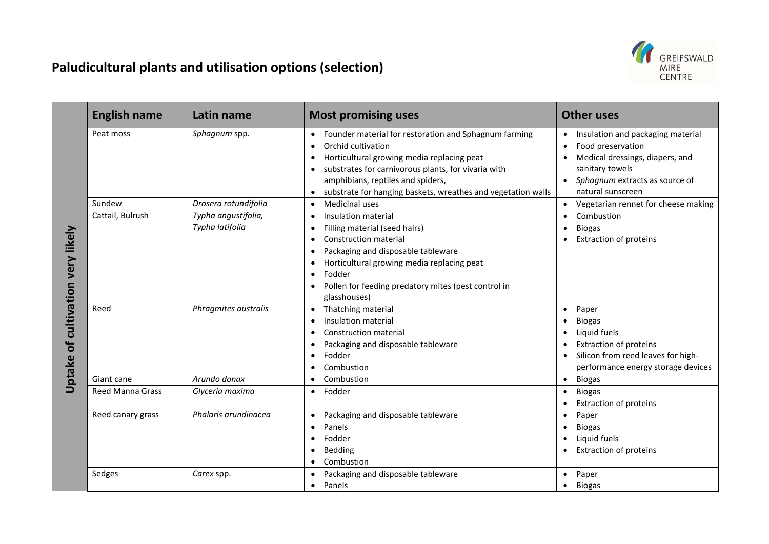

## **Paludicultural plants and utilisation options (selection)**

|                                      | <b>English name</b>     | Latin name                             | <b>Most promising uses</b>                                                                                                                                                                                                                                                                                                                           | <b>Other uses</b>                                                                                                                                                                  |
|--------------------------------------|-------------------------|----------------------------------------|------------------------------------------------------------------------------------------------------------------------------------------------------------------------------------------------------------------------------------------------------------------------------------------------------------------------------------------------------|------------------------------------------------------------------------------------------------------------------------------------------------------------------------------------|
| cultivation very likely<br>Uptake of | Peat moss               | Sphagnum spp.                          | Founder material for restoration and Sphagnum farming<br>$\bullet$<br>Orchid cultivation<br>$\bullet$<br>Horticultural growing media replacing peat<br>$\bullet$<br>substrates for carnivorous plants, for vivaria with<br>$\bullet$<br>amphibians, reptiles and spiders,<br>substrate for hanging baskets, wreathes and vegetation walls            | • Insulation and packaging material<br>Food preservation<br>$\bullet$<br>Medical dressings, diapers, and<br>sanitary towels<br>Sphagnum extracts as source of<br>natural sunscreen |
|                                      | Sundew                  | Drosera rotundifolia                   | Medicinal uses<br>$\bullet$                                                                                                                                                                                                                                                                                                                          | Vegetarian rennet for cheese making                                                                                                                                                |
|                                      | Cattail, Bulrush        | Typha angustifolia,<br>Typha latifolia | Insulation material<br>$\bullet$<br>Filling material (seed hairs)<br>$\bullet$<br><b>Construction material</b><br>$\bullet$<br>Packaging and disposable tableware<br>$\bullet$<br>Horticultural growing media replacing peat<br>$\bullet$<br>Fodder<br>$\bullet$<br>Pollen for feeding predatory mites (pest control in<br>$\bullet$<br>glasshouses) | Combustion<br><b>Biogas</b><br>$\bullet$<br><b>Extraction of proteins</b>                                                                                                          |
|                                      | Reed                    | Phragmites australis                   | Thatching material<br>$\bullet$<br>Insulation material<br>$\bullet$<br><b>Construction material</b><br>$\bullet$<br>Packaging and disposable tableware<br>$\bullet$<br>Fodder<br>$\bullet$<br>Combustion<br>$\bullet$                                                                                                                                | Paper<br>$\bullet$<br><b>Biogas</b><br>$\bullet$<br>Liquid fuels<br><b>Extraction of proteins</b><br>Silicon from reed leaves for high-<br>performance energy storage devices      |
|                                      | Giant cane              | Arundo donax                           | Combustion<br>$\bullet$                                                                                                                                                                                                                                                                                                                              | <b>Biogas</b><br>$\bullet$                                                                                                                                                         |
|                                      | <b>Reed Manna Grass</b> | Glyceria maxima                        | Fodder<br>$\bullet$                                                                                                                                                                                                                                                                                                                                  | <b>Biogas</b><br>$\bullet$<br><b>Extraction of proteins</b>                                                                                                                        |
|                                      | Reed canary grass       | Phalaris arundinacea                   | Packaging and disposable tableware<br>$\bullet$<br>Panels<br>$\bullet$<br>Fodder<br>$\bullet$<br>Bedding<br>٠<br>Combustion<br>٠                                                                                                                                                                                                                     | Paper<br>$\bullet$<br><b>Biogas</b><br>Liquid fuels<br><b>Extraction of proteins</b>                                                                                               |
|                                      | Sedges                  | Carex spp.                             | Packaging and disposable tableware<br>$\bullet$<br>Panels<br>$\bullet$                                                                                                                                                                                                                                                                               | • Paper<br>$\bullet$ Biogas                                                                                                                                                        |